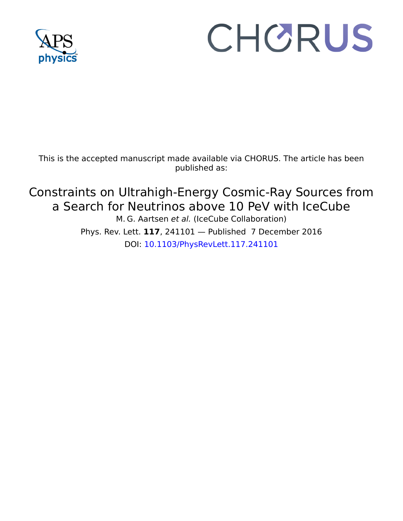

## CHORUS

This is the accepted manuscript made available via CHORUS. The article has been published as:

## Constraints on Ultrahigh-Energy Cosmic-Ray Sources from a Search for Neutrinos above 10 PeV with IceCube

M. G. Aartsen et al. (IceCube Collaboration) Phys. Rev. Lett. **117**, 241101 — Published 7 December 2016 DOI: 10.1103/PhysRevLett.117.241101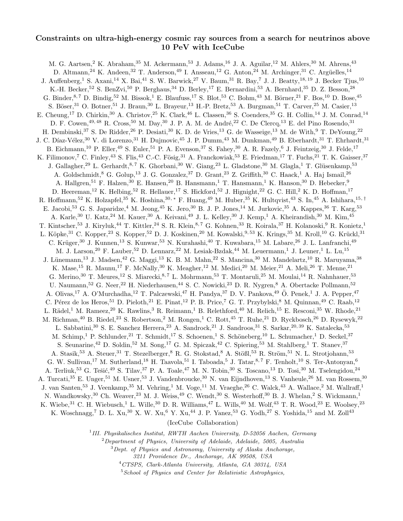## Constraints on ultra-high-energy cosmic ray sources from a search for neutrinos above 10 PeV with IceCube

M. G. Aartsen,<sup>2</sup> K. Abraham,<sup>35</sup> M. Ackermann,<sup>53</sup> J. Adams,<sup>16</sup> J. A. Aguilar,<sup>12</sup> M. Ahlers,<sup>30</sup> M. Ahrens,<sup>43</sup> D. Altmann,<sup>24</sup> K. Andeen,<sup>32</sup> T. Anderson,<sup>49</sup> I. Ansseau,<sup>12</sup> G. Anton,<sup>24</sup> M. Archinger,<sup>31</sup> C. Argüelles,<sup>14</sup> J. Auffenberg,<sup>1</sup> S. Axani,<sup>14</sup> X. Bai,<sup>41</sup> S. W. Barwick,<sup>27</sup> V. Baum,<sup>31</sup> R. Bay,<sup>7</sup> J. J. Beatty,<sup>18, 19</sup> J. Becker Tjus,<sup>10</sup> K.-H. Becker,<sup>52</sup> S. BenZvi,<sup>50</sup> P. Berghaus,<sup>34</sup> D. Berley,<sup>17</sup> E. Bernardini,<sup>53</sup> A. Bernhard,<sup>35</sup> D. Z. Besson,<sup>28</sup> G. Binder,  $8, 7$  D. Bindig,  $52$  M. Bissok,<sup>1</sup> E. Blaufuss,<sup>17</sup> S. Blot,  $53$  C. Bohm,  $43$  M. Börner,  $21$  F. Bos,  $10$  D. Bose,  $45$ S. Böser,<sup>31</sup> O. Botner,<sup>51</sup> J. Braun,<sup>30</sup> L. Brayeur,<sup>13</sup> H.-P. Bretz,<sup>53</sup> A. Burgman,<sup>51</sup> T. Carver,<sup>25</sup> M. Casier,<sup>13</sup> E. Cheung,<sup>17</sup> D. Chirkin,<sup>30</sup> A. Christov,<sup>25</sup> K. Clark,<sup>46</sup> L. Classen,<sup>36</sup> S. Coenders,<sup>35</sup> G. H. Collin,<sup>14</sup> J. M. Conrad,<sup>14</sup> D. F. Cowen, <sup>49, 48</sup> R. Cross, <sup>50</sup> M. Day, <sup>30</sup> J. P. A. M. de André, <sup>22</sup> C. De Clercq, <sup>13</sup> E. del Pino Rosendo, <sup>31</sup> H. Dembinski,<sup>37</sup> S. De Ridder,<sup>26</sup> P. Desiati,<sup>30</sup> K. D. de Vries,<sup>13</sup> G. de Wasseige,<sup>13</sup> M. de With,<sup>9</sup> T. DeYoung,<sup>22</sup> J. C. Díaz-Vélez,<sup>30</sup> V. di Lorenzo,<sup>31</sup> H. Dujmovic,<sup>45</sup> J. P. Dumm,<sup>43</sup> M. Dunkman,<sup>49</sup> B. Eberhardt,<sup>31</sup> T. Ehrhardt,<sup>31</sup> B. Eichmann,<sup>10</sup> P. Eller,<sup>49</sup> S. Euler,<sup>51</sup> P. A. Evenson,<sup>37</sup> S. Fahey,<sup>30</sup> A. R. Fazely,<sup>6</sup> J. Feintzeig,<sup>30</sup> J. Felde,<sup>17</sup> K. Filimonov,<sup>7</sup> C. Finley,<sup>43</sup> S. Flis,<sup>43</sup> C.-C. Fösig,<sup>31</sup> A. Franckowiak,<sup>53</sup> E. Friedman,<sup>17</sup> T. Fuchs,<sup>21</sup> T. K. Gaisser,<sup>37</sup> J. Gallagher,<sup>29</sup> L. Gerhardt,<sup>8,7</sup> K. Ghorbani,<sup>30</sup> W. Giang,<sup>23</sup> L. Gladstone,<sup>30</sup> M. Glagla,<sup>1</sup> T. Glüsenkamp,<sup>53</sup> A. Goldschmidt,<sup>8</sup> G. Golup,<sup>13</sup> J. G. Gonzalez,<sup>37</sup> D. Grant,<sup>23</sup> Z. Griffith,<sup>30</sup> C. Haack,<sup>1</sup> A. Haj Ismail,<sup>26</sup> A. Hallgren,<sup>51</sup> F. Halzen,<sup>30</sup> E. Hansen,<sup>20</sup> B. Hansmann,<sup>1</sup> T. Hansmann,<sup>1</sup> K. Hanson,<sup>30</sup> D. Hebecker,<sup>9</sup> D. Heereman,<sup>12</sup> K. Helbing,<sup>52</sup> R. Hellauer,<sup>17</sup> S. Hickford,<sup>52</sup> J. Hignight,<sup>22</sup> G. C. Hill,<sup>2</sup> K. D. Hoffman,<sup>17</sup> R. Hoffmann,<sup>52</sup> K. Holzapfel,<sup>35</sup> K. Hoshina,<sup>30,</sup> ∗ F. Huang,<sup>49</sup> M. Huber,<sup>35</sup> K. Hultqvist,<sup>43</sup> S. In,<sup>45</sup> A. Ishihara,<sup>15,†</sup> E. Jacobi,<sup>53</sup> G. S. Japaridze,<sup>4</sup> M. Jeong,<sup>45</sup> K. Jero,<sup>30</sup> B. J. P. Jones,<sup>14</sup> M. Jurkovic,<sup>35</sup> A. Kappes,<sup>36</sup> T. Karg,<sup>53</sup> A. Karle,<sup>30</sup> U. Katz,<sup>24</sup> M. Kauer,<sup>30</sup> A. Keivani,<sup>49</sup> J. L. Kelley,<sup>30</sup> J. Kemp,<sup>1</sup> A. Kheirandish,<sup>30</sup> M. Kim,<sup>45</sup> T. Kintscher,<sup>53</sup> J. Kiryluk,<sup>44</sup> T. Kittler,<sup>24</sup> S. R. Klein,<sup>8,7</sup> G. Kohnen,<sup>33</sup> R. Koirala,<sup>37</sup> H. Kolanoski,<sup>9</sup> R. Konietz,<sup>1</sup> L. Köpke,<sup>31</sup> C. Kopper,<sup>23</sup> S. Kopper,<sup>52</sup> D. J. Koskinen,<sup>20</sup> M. Kowalski,<sup>9,53</sup> K. Krings,<sup>35</sup> M. Kroll,<sup>10</sup> G. Krückl,<sup>31</sup> C. Krüger,<sup>30</sup> J. Kunnen,<sup>13</sup> S. Kunwar,<sup>53</sup> N. Kurahashi,<sup>40</sup> T. Kuwabara,<sup>15</sup> M. Labare,<sup>26</sup> J. L. Lanfranchi,<sup>49</sup> M. J. Larson,<sup>20</sup> F. Lauber,<sup>52</sup> D. Lennarz,<sup>22</sup> M. Lesiak-Bzdak,<sup>44</sup> M. Leuermann,<sup>1</sup> J. Leuner,<sup>1</sup> L. Lu,<sup>15</sup> J. Lünemann,<sup>13</sup> J. Madsen,<sup>42</sup> G. Maggi,<sup>13</sup> K. B. M. Mahn,<sup>22</sup> S. Mancina,<sup>30</sup> M. Mandelartz,<sup>10</sup> R. Maruyama,<sup>38</sup> K. Mase,<sup>15</sup> R. Maunu,<sup>17</sup> F. McNally,<sup>30</sup> K. Meagher,<sup>12</sup> M. Medici,<sup>20</sup> M. Meier,<sup>21</sup> A. Meli,<sup>26</sup> T. Menne,<sup>21</sup> G. Merino,<sup>30</sup> T. Meures,<sup>12</sup> S. Miarecki,<sup>8,7</sup> L. Mohrmann,<sup>53</sup> T. Montaruli,<sup>25</sup> M. Moulai,<sup>14</sup> R. Nahnhauer,<sup>53</sup> U. Naumann,<sup>52</sup> G. Neer,<sup>22</sup> H. Niederhausen,<sup>44</sup> S. C. Nowicki,<sup>23</sup> D. R. Nygren,<sup>8</sup> A. Obertacke Pollmann,<sup>52</sup> A. Olivas,<sup>17</sup> A. O'Murchadha,<sup>12</sup> T. Palczewski,<sup>47</sup> H. Pandya,<sup>37</sup> D. V. Pankova,<sup>49</sup> Ö. Penek,<sup>1</sup> J. A. Pepper,<sup>47</sup> C. Pérez de los Heros,<sup>51</sup> D. Pieloth,<sup>21</sup> E. Pinat,<sup>12</sup> P. B. Price,<sup>7</sup> G. T. Przybylski,<sup>8</sup> M. Quinnan,<sup>49</sup> C. Raab,<sup>12</sup> L. Rädel,<sup>1</sup> M. Rameez,<sup>20</sup> K. Rawlins,<sup>3</sup> R. Reimann,<sup>1</sup> B. Relethford,<sup>40</sup> M. Relich,<sup>15</sup> E. Resconi,<sup>35</sup> W. Rhode,<sup>21</sup> M. Richman,<sup>40</sup> B. Riedel,<sup>23</sup> S. Robertson,<sup>2</sup> M. Rongen,<sup>1</sup> C. Rott,<sup>45</sup> T. Ruhe,<sup>21</sup> D. Ryckbosch,<sup>26</sup> D. Rysewyk,<sup>22</sup> L. Sabbatini,<sup>30</sup> S. E. Sanchez Herrera,<sup>23</sup> A. Sandrock,<sup>21</sup> J. Sandroos,<sup>31</sup> S. Sarkar,<sup>20, 39</sup> K. Satalecka,<sup>53</sup> M. Schimp,<sup>1</sup> P. Schlunder,<sup>21</sup> T. Schmidt,<sup>17</sup> S. Schoenen,<sup>1</sup> S. Schöneberg,<sup>10</sup> L. Schumacher,<sup>1</sup> D. Seckel,<sup>37</sup> S. Seunarine,<sup>42</sup> D. Soldin,<sup>52</sup> M. Song,<sup>17</sup> G. M. Spiczak,<sup>42</sup> C. Spiering,<sup>53</sup> M. Stahlberg,<sup>1</sup> T. Stanev,<sup>37</sup> A. Stasik,<sup>53</sup> A. Steuer,<sup>31</sup> T. Stezelberger,<sup>8</sup> R. G. Stokstad,<sup>8</sup> A. Stößl,<sup>53</sup> R. Ström,<sup>51</sup> N. L. Strotjohann,<sup>53</sup> G. W. Sullivan,<sup>17</sup> M. Sutherland,<sup>18</sup> H. Taavola,<sup>51</sup> I. Taboada,<sup>5</sup> J. Tatar,<sup>8,7</sup> F. Tenholt,<sup>10</sup> S. Ter-Antonyan,<sup>6</sup> A. Terliuk,<sup>53</sup> G. Tešić,<sup>49</sup> S. Tilav,<sup>37</sup> P. A. Toale,<sup>47</sup> M. N. Tobin,<sup>30</sup> S. Toscano,<sup>13</sup> D. Tosi,<sup>30</sup> M. Tselengidou,<sup>24</sup> A. Turcati,<sup>35</sup> E. Unger,<sup>51</sup> M. Usner,<sup>53</sup> J. Vandenbroucke,<sup>30</sup> N. van Eijndhoven,<sup>13</sup> S. Vanheule,<sup>26</sup> M. van Rossem,<sup>30</sup> J. van Santen,<sup>53</sup> J. Veenkamp,<sup>35</sup> M. Vehring,<sup>1</sup> M. Voge,<sup>11</sup> M. Vraeghe,<sup>26</sup> C. Walck,<sup>43</sup> A. Wallace,<sup>2</sup> M. Wallraff,<sup>1</sup> N. Wandkowsky,<sup>30</sup> Ch. Weaver,<sup>23</sup> M. J. Weiss,<sup>49</sup> C. Wendt,<sup>30</sup> S. Westerhoff,<sup>30</sup> B. J. Whelan,<sup>2</sup> S. Wickmann,<sup>1</sup> K. Wiebe,<sup>31</sup> C. H. Wiebusch,<sup>1</sup> L. Wille,<sup>30</sup> D. R. Williams,<sup>47</sup> L. Wills,<sup>40</sup> M. Wolf,<sup>43</sup> T. R. Wood,<sup>23</sup> E. Woolsey,<sup>23</sup> K. Woschnagg,<sup>7</sup> D. L. Xu,<sup>30</sup> X. W. Xu,<sup>6</sup> Y. Xu,<sup>44</sup> J. P. Yanez,<sup>53</sup> G. Yodh,<sup>27</sup> S. Yoshida,<sup>15</sup> and M. Zoll<sup>43</sup> (IceCube Collaboration)

1 *III. Physikalisches Institut, RWTH Aachen University, D-52056 Aachen, Germany*

<sup>2</sup>*Department of Physics, University of Adelaide, Adelaide, 5005, Australia*

<sup>3</sup>*Dept. of Physics and Astronomy, University of Alaska Anchorage,*

*3211 Providence Dr., Anchorage, AK 99508, USA* <sup>4</sup>*CTSPS, Clark-Atlanta University, Atlanta, GA 30314, USA*

<sup>5</sup>*School of Physics and Center for Relativistic Astrophysics,*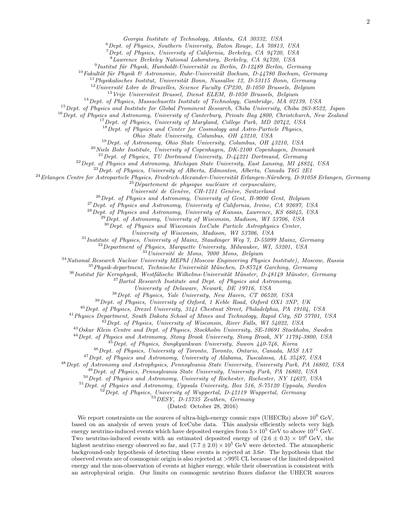*Georgia Institute of Technology, Atlanta, GA 30332, USA*

*Dept. of Physics, Southern University, Baton Rouge, LA 70813, USA*

*Dept. of Physics, University of California, Berkeley, CA 94720, USA*

*Lawrence Berkeley National Laboratory, Berkeley, CA 94720, USA*

<sup>9</sup> Institut für Physik, Humboldt-Universität zu Berlin, D-12489 Berlin, Germany

<sup>10</sup> Fakultät für Physik & Astronomie, Ruhr-Universität Bochum, D-44780 Bochum, Germany

<sup>11</sup> Physikalisches Institut, Universität Bonn, Nussallee 12, D-53115 Bonn, Germany

<sup>12</sup> Université Libre de Bruxelles, Science Faculty CP230, B-1050 Brussels, Belgium

*Vrije Universiteit Brussel, Dienst ELEM, B-1050 Brussels, Belgium*

*Dept. of Physics, Massachusetts Institute of Technology, Cambridge, MA 02139, USA*

*Dept. of Physics and Institute for Global Prominent Research, Chiba University, Chiba 263-8522, Japan*

*Dept. of Physics and Astronomy, University of Canterbury, Private Bag 4800, Christchurch, New Zealand*

*Dept. of Physics, University of Maryland, College Park, MD 20742, USA*

*Dept. of Physics and Center for Cosmology and Astro-Particle Physics,*

*Ohio State University, Columbus, OH 43210, USA*

*Dept. of Astronomy, Ohio State University, Columbus, OH 43210, USA*

*Niels Bohr Institute, University of Copenhagen, DK-2100 Copenhagen, Denmark*

*Dept. of Physics, TU Dortmund University, D-44221 Dortmund, Germany*

*Dept. of Physics and Astronomy, Michigan State University, East Lansing, MI 48824, USA*

*Dept. of Physics, University of Alberta, Edmonton, Alberta, Canada T6G 2E1*

<sup>24</sup>Erlangen Centre for Astroparticle Physics, Friedrich-Alexander-Universität Erlangen-Nürnberg, D-91058 Erlangen, Germany

<sup>25</sup>Département de physique nucléaire et corpusculaire,

*Universit´e de Gen`eve, CH-1211 Gen`eve, Switzerland*

*Dept. of Physics and Astronomy, University of Gent, B-9000 Gent, Belgium*

*Dept. of Physics and Astronomy, University of California, Irvine, CA 92697, USA*

*Dept. of Physics and Astronomy, University of Kansas, Lawrence, KS 66045, USA*

*Dept. of Astronomy, University of Wisconsin, Madison, WI 53706, USA*

*Dept. of Physics and Wisconsin IceCube Particle Astrophysics Center,*

*University of Wisconsin, Madison, WI 53706, USA*

*Institute of Physics, University of Mainz, Staudinger Weg 7, D-55099 Mainz, Germany*

*Department of Physics, Marquette University, Milwaukee, WI, 53201, USA*

*Universit´e de Mons, 7000 Mons, Belgium*

*National Research Nuclear University MEPhI (Moscow Engineering Physics Institute), Moscow, Russia*

<sup>35</sup> Physik-department, Technische Universität München, D-85748 Garching, Germany

<sup>36</sup> Institut für Kernphysik, Westfälische Wilhelms-Universität Münster, D-48149 Münster, Germany

*Bartol Research Institute and Dept. of Physics and Astronomy,*

*University of Delaware, Newark, DE 19716, USA*

*Dept. of Physics, Yale University, New Haven, CT 06520, USA*

*Dept. of Physics, University of Oxford, 1 Keble Road, Oxford OX1 3NP, UK*

*Dept. of Physics, Drexel University, 3141 Chestnut Street, Philadelphia, PA 19104, USA*

*Physics Department, South Dakota School of Mines and Technology, Rapid City, SD 57701, USA*

*Dept. of Physics, University of Wisconsin, River Falls, WI 54022, USA*

*Oskar Klein Centre and Dept. of Physics, Stockholm University, SE-10691 Stockholm, Sweden*

*Dept. of Physics and Astronomy, Stony Brook University, Stony Brook, NY 11794-3800, USA*

*Dept. of Physics, Sungkyunkwan University, Suwon 440-746, Korea*

*Dept. of Physics, University of Toronto, Toronto, Ontario, Canada, M5S 1A7*

*Dept. of Physics and Astronomy, University of Alabama, Tuscaloosa, AL 35487, USA*

*Dept. of Astronomy and Astrophysics, Pennsylvania State University, University Park, PA 16802, USA*

*Dept. of Physics, Pennsylvania State University, University Park, PA 16802, USA*

*Dept. of Physics and Astronomy, University of Rochester, Rochester, NY 14627, USA*

*Dept. of Physics and Astronomy, Uppsala University, Box 516, S-75120 Uppsala, Sweden*

*Dept. of Physics, University of Wuppertal, D-42119 Wuppertal, Germany*

*DESY, D-15735 Zeuthen, Germany*

(Dated: October 28, 2016)

We report constraints on the sources of ultra-high-energy cosmic rays (UHECRs) above  $10^9$  GeV, based on an analysis of seven years of IceCube data. This analysis efficiently selects very high energy neutrino-induced events which have deposited energies from  $5 \times 10^5$  GeV to above  $10^{11}$  GeV. Two neutrino-induced events with an estimated deposited energy of  $(2.6 \pm 0.3) \times 10^6$  GeV, the highest neutrino energy observed so far, and  $(7.7 \pm 2.0) \times 10^5$  GeV were detected. The atmospheric background-only hypothesis of detecting these events is rejected at  $3.6\sigma$ . The hypothesis that the observed events are of cosmogenic origin is also rejected at >99% CL because of the limited deposited energy and the non-observation of events at higher energy, while their observation is consistent with an astrophysical origin. Our limits on cosmogenic neutrino fluxes disfavor the UHECR sources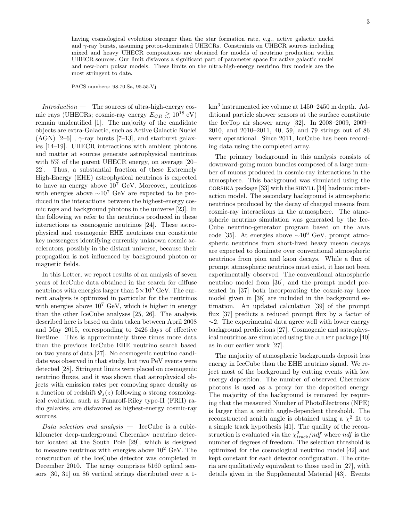having cosmological evolution stronger than the star formation rate, e.g., active galactic nuclei and  $\gamma$ -ray bursts, assuming proton-dominated UHECRs. Constraints on UHECR sources including mixed and heavy UHECR compositions are obtained for models of neutrino production within UHECR sources. Our limit disfavors a significant part of parameter space for active galactic nuclei and new-born pulsar models. These limits on the ultra-high-energy neutrino flux models are the most stringent to date.

PACS numbers: 98.70.Sa, 95.55.Vj

 $Introduction$  — The sources of ultra-high-energy cosmic rays (UHECRs; cosmic-ray energy  $E_{CR} \gtrsim 10^{18} \text{ eV}$ ) remain unidentified [1]. The majority of the candidate objects are extra-Galactic, such as Active Galactic Nuclei (AGN) [2–6],  $\gamma$ -ray bursts [7–13], and starburst galaxies [14–19]. UHECR interactions with ambient photons and matter at sources generate astrophysical neutrinos with 5% of the parent UHECR energy, on average [20– 22]. Thus, a substantial fraction of these Extremely High-Energy (EHE) astrophysical neutrinos is expected to have an energy above  $10^7$  GeV. Moreover, neutrinos with energies above  $\sim 10^7$  GeV are expected to be produced in the interactions between the highest-energy cosmic rays and background photons in the universe [23]. In the following we refer to the neutrinos produced in these interactions as cosmogenic neutrinos [24]. These astrophysical and cosmogenic EHE neutrinos can constitute key messengers identifying currently unknown cosmic accelerators, possibly in the distant universe, because their propagation is not influenced by background photon or magnetic fields.

In this Letter, we report results of an analysis of seven years of IceCube data obtained in the search for diffuse neutrinos with energies larger than  $5 \times 10^5$  GeV. The current analysis is optimized in particular for the neutrinos with energies above  $10^7$  GeV, which is higher in energy than the other IceCube analyses [25, 26]. The analysis described here is based on data taken between April 2008 and May 2015, corresponding to 2426 days of effective livetime. This is approximately three times more data than the previous IceCube EHE neutrino search based on two years of data [27]. No cosmogenic neutrino candidate was observed in that study, but two PeV events were detected [28]. Stringent limits were placed on cosmogenic neutrino fluxes, and it was shown that astrophysical objects with emission rates per comoving space density as a function of redshift  $\Psi_s(z)$  following a strong cosmological evolution, such as Fanaroff-Riley type-II (FRII) radio galaxies, are disfavored as highest-energy cosmic-ray sources.

Data selection and analysis  $-$  IceCube is a cubickilometer deep-underground Cherenkov neutrino detector located at the South Pole [29], which is designed to measure neutrinos with energies above  $10^2$  GeV. The construction of the IceCube detector was completed in December 2010. The array comprises 5160 optical sensors [30, 31] on 86 vertical strings distributed over a 1-

km<sup>3</sup> instrumented ice volume at 1450–2450 m depth. Additional particle shower sensors at the surface constitute the IceTop air shower array [32]. In 2008–2009, 2009– 2010, and 2010–2011, 40, 59, and 79 strings out of 86 were operational. Since 2011, IceCube has been recording data using the completed array.

The primary background in this analysis consists of downward-going muon bundles composed of a large number of muons produced in cosmic-ray interactions in the atmosphere. This background was simulated using the  $CORSIKA$  package [33] with the  $SIBYLL$  [34] hadronic interaction model. The secondary background is atmospheric neutrinos produced by the decay of charged mesons from cosmic-ray interactions in the atmosphere. The atmospheric neutrino simulation was generated by the Ice-Cube neutrino-generator program based on the anis code [35]. At energies above  $\sim 10^6$  GeV, prompt atmospheric neutrinos from short-lived heavy meson decays are expected to dominate over conventional atmospheric neutrinos from pion and kaon decays. While a flux of prompt atmospheric neutrinos must exist, it has not been experimentally observed. The conventional atmospheric neutrino model from [36], and the prompt model presented in [37] both incorporating the cosmic-ray knee model given in [38] are included in the background estimation. An updated calculation [39] of the prompt flux [37] predicts a reduced prompt flux by a factor of ∼2. The experimental data agree well with lower energy background predictions [27]. Cosmogenic and astrophysical neutrinos are simulated using the JULIeT package [40] as in our earlier work [27].

The majority of atmospheric backgrounds deposit less energy in IceCube than the EHE neutrino signal. We reject most of the background by cutting events with low energy deposition. The number of observed Cherenkov photons is used as a proxy for the deposited energy. The majority of the background is removed by requiring that the measured Number of PhotoElectrons (NPE) is larger than a zenith angle-dependent threshold. The reconstructed zenith angle is obtained using a  $\chi^2$  fit to a simple track hypothesis [41]. The quality of the reconstruction is evaluated via the  $\chi^2_{\rm track}/ndf$  where  $ndf$  is the number of degrees of freedom. The selection threshold is optimized for the cosmological neutrino model [42] and kept constant for each detector configuration. The criteria are qualitatively equivalent to those used in [27], with details given in the Supplemental Material [43]. Events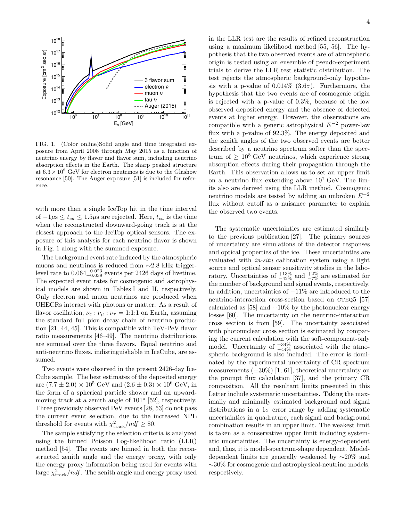

FIG. 1. (Color online)Solid angle and time integrated exposure from April 2008 through May 2015 as a function of neutrino energy by flavor and flavor sum, including neutrino absorption effects in the Earth. The sharp peaked structure at  $6.3 \times 10^6$  GeV for electron neutrinos is due to the Glashow resonance [50]. The Auger exposure [51] is included for reference.

with more than a single IceTop hit in the time interval of  $-1\mu s \leq t_{ca} \leq 1.5\mu s$  are rejected. Here,  $t_{ca}$  is the time when the reconstructed downward-going track is at the closest approach to the IceTop optical sensors. The exposure of this analysis for each neutrino flavor is shown in Fig. 1 along with the summed exposure.

The background event rate induced by the atmospheric muons and neutrinos is reduced from ∼2.8 kHz triggerlevel rate to  $0.064_{-0.039}^{+0.023}$  events per 2426 days of livetime. The expected event rates for cosmogenic and astrophysical models are shown in Tables I and II, respectively. Only electron and muon neutrinos are produced when UHECRs interact with photons or matter. As a result of flavor oscillation,  $\nu_e : \nu_\mu : \nu_\tau = 1:1:1$  on Earth, assuming the standard full pion decay chain of neutrino production [21, 44, 45]. This is compatible with TeV-PeV flavor ratio measurements [46–49]. The neutrino distributions are summed over the three flavors. Equal neutrino and anti-neutrino fluxes, indistinguishable in IceCube, are assumed.

Two events were observed in the present 2426-day Ice-Cube sample. The best estimates of the deposited energy are  $(7.7 \pm 2.0) \times 10^5$  GeV and  $(2.6 \pm 0.3) \times 10^6$  GeV, in the form of a spherical particle shower and an upwardmoving track at a zenith angle of 101<sup>°</sup> [52], respectively. Three previously observed PeV events [28, 53] do not pass the current event selection, due to the increased NPE threshold for events with  $\chi^2_{\text{track}}/ndf \geq 80$ .

The sample satisfying the selection criteria is analyzed using the binned Poisson Log-likelihood ratio (LLR) method [54]. The events are binned in both the reconstructed zenith angle and the energy proxy, with only the energy proxy information being used for events with large  $\chi^2_{\rm track}/ndf$ . The zenith angle and energy proxy used

in the LLR test are the results of refined reconstruction using a maximum likelihood method [55, 56]. The hypothesis that the two observed events are of atmospheric origin is tested using an ensemble of pseudo-experiment trials to derive the LLR test statistic distribution. The test rejects the atmospheric background-only hypothesis with a p-value of  $0.014\%$  (3.6 $\sigma$ ). Furthermore, the hypothesis that the two events are of cosmogenic origin is rejected with a p-value of 0.3%, because of the low observed deposited energy and the absence of detected events at higher energy. However, the observations are compatible with a generic astrophysical  $E^{-2}$  power-law flux with a p-value of 92.3%. The energy deposited and the zenith angles of the two observed events are better described by a neutrino spectrum softer than the spectrum of  $> 10^8$  GeV neutrinos, which experience strong absorption effects during their propagation through the Earth. This observation allows us to set an upper limit on a neutrino flux extending above  $10^7$  GeV. The limits also are derived using the LLR method. Cosmogenic neutrino models are tested by adding an unbroken  $E^{-2}$ flux without cutoff as a nuisance parameter to explain the observed two events.

The systematic uncertainties are estimated similarly to the previous publication [27]. The primary sources of uncertainty are simulations of the detector responses and optical properties of the ice. These uncertainties are evaluated with in-situ calibration system using a light source and optical sensor sensitivity studies in the laboratory. Uncertainties of  $^{+13\%}_{-42\%}$  and  $^{+2\%}_{-7\%}$  are estimated for the number of background and signal events, respectively. In addition, uncertainties of −11% are introduced to the neutrino-interaction cross-section based on CTEQ5 [57] calculated as  $[58]$  and  $+10\%$  by the photonuclear energy losses [60]. The uncertainty on the neutrino-interaction cross section is from [59]. The uncertainty associated with photonuclear cross section is estimated by comparing the current calculation with the soft-component-only model. Uncertainty of  $^{+34\%}_{-44\%}$  associated with the atmospheric background is also included. The error is dominated by the experimental uncertainty of CR spectrum measurements  $(\pm 30\%)$  [1, 61], theoretical uncertainty on the prompt flux calculation [37], and the primary CR composition. All the resultant limits presented in this Letter include systematic uncertainties. Taking the maximally and minimally estimated background and signal distributions in a  $1\sigma$  error range by adding systematic uncertainties in quadrature, each signal and background combination results in an upper limit. The weakest limit is taken as a conservative upper limit including systematic uncertainties. The uncertainty is energy-dependent and, thus, it is model-spectrum-shape dependent. Modeldependent limits are generally weakened by ∼20% and ∼30% for cosmogenic and astrophysical-neutrino models, respectively.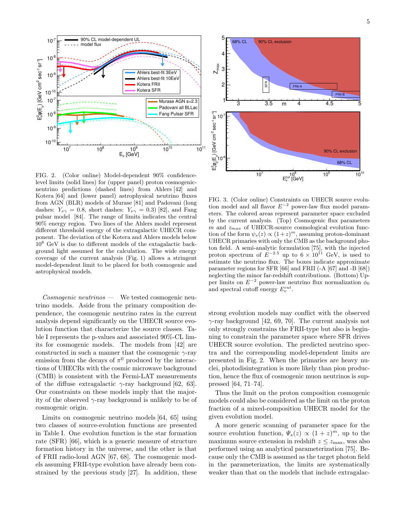

FIG. 2. (Color online) Model-dependent 90% confidencelevel limits (solid lines) for (upper panel) proton cosmogenicneutrino predictions (dashed lines) from Ahlers [42] and Kotera [64] and (lower panel) astrophysical neutrino fluxes from AGN (BLR) models of Murase [81] and Padovani (long dashes:  $Y_{\nu\gamma} = 0.8$ , short dashes:  $Y_{\nu\gamma} = 0.3$  [82], and Fang pulsar model [84]. The range of limits indicates the central 90% energy region. Two lines of the Ahlers model represent different threshold energy of the extragalactic UHECR component. The deviation of the Kotera and Ahlers models below  $10<sup>8</sup>$  GeV is due to different models of the extagalactic background light assumed for the calculation. The wide energy coverage of the current analysis (Fig. 1) allows a stringent model-dependent limit to be placed for both cosmogenic and astrophysical models.

 $Cosmogenic\ neutrinos$  — We tested cosmogenic neutrino models. Aside from the primary composition dependence, the cosmogenic neutrino rates in the current analysis depend significantly on the UHECR source evolution function that characterize the source classes. Table I represents the p-values and associated 90%-CL limits for cosmogenic models. The models from [42] are constructed in such a manner that the cosmogenic  $\gamma$ -ray emission from the decays of  $\pi^0$  produced by the interactions of UHECRs with the cosmic microwave background (CMB) is consistent with the Fermi-LAT measurements of the diffuse extragalactic  $\gamma$ -ray background [62, 63]. Our constraints on these models imply that the majority of the observed  $\gamma$ -ray background is unlikely to be of cosmogenic origin.

Limits on cosmogenic neutrino models [64, 65] using two classes of source-evolution functions are presented in Table I. One evolution function is the star formation rate (SFR) [66], which is a generic measure of structure formation history in the universe, and the other is that of FRII radio-loud AGN [67, 68]. The cosmogenic models assuming FRII-type evolution have already been constrained by the previous study [27]. In addition, these



FIG. 3. (Color online) Constraints on UHECR source evolution model and all flavor  $E^{-2}$  power-law flux model parameters. The colored areas represent parameter space excluded by the current analysis. (Top) Cosmogenic flux parameters m and  $z_{max}$  of UHECR-source cosmological evolution function of the form  $\psi_s(z) \propto (1+z)^m$ , assuming proton-dominant UHECR primaries with only the CMB as the background photon field. A semi-analytic formulation [75], with the injected proton spectrum of  $E^{-2.5}$  up to  $6 \times 10^{11}$  GeV, is used to estimate the neutrino flux. The boxes indicate approximate parameter regions for SFR [66] and FRII (-A [67] and -B [68]) neglecting the minor far-redshift contributions. (Bottom) Upper limits on  $E^{-2}$  power-law neutrino flux normalization  $\phi_0$ and spectral cutoff energy  $E_{\nu}^{cut}$ .

strong evolution models may conflict with the observed  $\gamma$ -ray background [42, 69, 70]. The current analysis not only strongly constrains the FRII-type but also is beginning to constrain the parameter space where SFR drives UHECR source evolution. The predicted neutrino spectra and the corresponding model-dependent limits are presented in Fig. 2. When the primaries are heavy nuclei, photodisintegration is more likely than pion production, hence the flux of cosmogenic muon neutrinos is suppressed [64, 71–74].

Thus the limit on the proton composition cosmogenic models could also be considered as the limit on the proton fraction of a mixed-composition UHECR model for the given evolution model.

A more generic scanning of parameter space for the source evolution function,  $\Psi_s(z) \propto (1+z)^m$ , up to the maximum source extension in redshift  $z \le z_{\text{max}}$ , was also performed using an analytical parameterization [75]. Because only the CMB is assumed as the target photon field in the parameterization, the limits are systematically weaker than that on the models that include extragalac-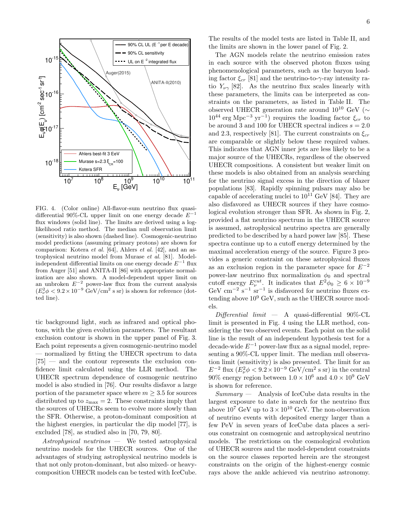

FIG. 4. (Color online) All-flavor-sum neutrino flux quasidifferential 90%-CL upper limit on one energy decade E −1 flux windows (solid line). The limits are derived using a loglikelihood ratio method. The median null observation limit (sensitivity) is also shown (dashed line). Cosmogenic-neutrino model predictions (assuming primary protons) are shown for comparison: Kotera *et al.* [64], Ahlers *et al.* [42], and an astrophysical neutrino model from Murase *et al.* [81]. Modelindependent differential limits on one energy decade  $E^{-1}$  flux from Auger [51] and ANITA-II [86] with appropriate normalization are also shown. A model-dependent upper limit on an unbroken  $E^{-2}$  power-law flux from the current analysis  $(E_{\nu}^2 \phi < 9.2 \times 10^{-9} \text{ GeV/cm}^2 \text{ s sr})$  is shown for reference (dotted line).

tic background light, such as infrared and optical photons, with the given evolution parameters. The resultant exclusion contour is shown in the upper panel of Fig. 3. Each point represents a given cosmogenic-neutrino model — normalized by fitting the UHECR spectrum to data [75] — and the contour represents the exclusion confidence limit calculated using the LLR method. The UHECR spectrum dependence of cosmogenic neutrino model is also studied in [76]. Our results disfavor a large portion of the parameter space where  $m \geq 3.5$  for sources distributed up to  $z_{\text{max}} = 2$ . These constraints imply that the sources of UHECRs seem to evolve more slowly than the SFR. Otherwise, a proton-dominant composition at the highest energies, in particular the dip model [77], is excluded [78], as studied also in [70, 79, 80].

 $Astrophysical$  neutrinos  $-$  We tested astrophysical neutrino models for the UHECR sources. One of the advantages of studying astrophysical neutrino models is that not only proton-dominant, but also mixed- or heavycomposition UHECR models can be tested with IceCube.

The results of the model tests are listed in Table II, and the limits are shown in the lower panel of Fig. 2.

The AGN models relate the neutrino emission rates in each source with the observed photon fluxes using phenomenological parameters, such as the baryon loading factor  $\xi_{cr}$  [81] and the neutrino-to- $\gamma$ -ray intensity ratio  $Y_{\nu\gamma}$  [82]. As the neutrino flux scales linearly with these parameters, the limits can be interpreted as constraints on the parameters, as listed in Table II. The observed UHECR generation rate around  $10^{10}$  GeV ( $\sim$  $10^{44}$  erg Mpc<sup>-3</sup> yr<sup>-1</sup>) requires the loading factor  $\xi_{cr}$  to be around 3 and 100 for UHECR spectral indices  $s = 2.0$ and 2.3, respectively [81]. The current constraints on  $\xi_{cr}$ are comparable or slightly below these required values. This indicates that AGN inner jets are less likely to be a major source of the UHECRs, regardless of the observed UHECR compositions. A consistent but weaker limit on these models is also obtained from an analysis searching for the neutrino signal excess in the direction of blazer populations [83]. Rapidly spinning pulsars may also be capable of accelerating nuclei to  $10^{11}$  GeV [84]. They are also disfavored as UHECR sources if they have cosmological evolution stronger than SFR. As shown in Fig. 2, provided a flat neutrino spectrum in the UHECR source is assumed, astrophysical neutrino spectra are generally predicted to be described by a hard power law [85]. These spectra continue up to a cutoff energy determined by the maximal acceleration energy of the source. Figure 3 provides a generic constraint on these astrophysical fluxes as an exclusion region in the parameter space for  $E^{-2}$ power-law neutrino flux normalization  $\phi_0$  and spectral cutoff energy  $E_{\nu}^{cut}$ . It indicates that  $E^2 \phi_0 \geq 6 \times 10^{-9}$ GeV cm<sup>-2</sup> s<sup>-1</sup> sr<sup>-1</sup> is disfavored for neutrino fluxes extending above  $10^9$  GeV, such as the UHECR source models.

 $Differential$   $limit$   $-$  A quasi-differential 90%-CL limit is presented in Fig. 4 using the LLR method, considering the two observed events. Each point on the solid line is the result of an independent hypothesis test for a decade-wide  $E^{-1}$  power-law flux as a signal model, representing a 90%-CL upper limit. The median null observation limit (sensitivity) is also presented. The limit for an  $E^{-2}$  flux  $(E_{\nu}^2 \phi < 9.2 \times 10^{-9} \text{ GeV/cm}^2 \text{ s sr})$  in the central  $90\%$  energy region between  $1.0 \times 10^6$  and  $4.0 \times 10^9$  GeV is shown for reference.

 $Summary$  — Analysis of IceCube data results in the largest exposure to date in search for the neutrino flux above  $10^7$  GeV up to  $3 \times 10^{10}$  GeV. The non-observation of neutrino events with deposited energy larger than a few PeV in seven years of IceCube data places a serious constraint on cosmogenic and astrophysical neutrino models. The restrictions on the cosmological evolution of UHECR sources and the model-dependent constraints on the source classes reported herein are the strongest constraints on the origin of the highest-energy cosmic rays above the ankle achieved via neutrino astronomy.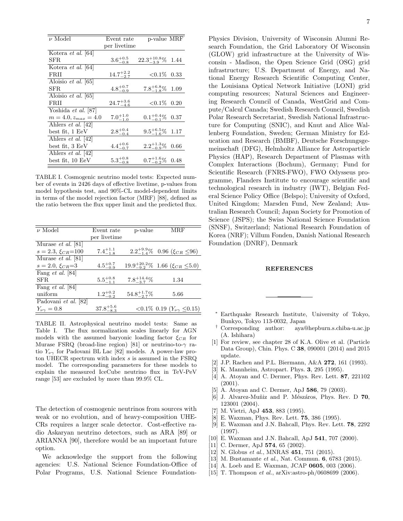| $\nu$ Model               | Event rate           | $p$ -value MRF               |      |
|---------------------------|----------------------|------------------------------|------|
|                           | per livetime         |                              |      |
| Kotera et al. [64]        |                      |                              |      |
| SFR.                      | $3.6^{+0.5}_{-0.8}$  | $22.3^{+10.8}_{-3.9}\%$ 1.44 |      |
| Kotera et al. [64]        |                      |                              |      |
| FRII                      | $14.7^{+2.2}_{-2.7}$ | ${<}0.1\%$                   | 0.33 |
| Aloisio et al. $[65]$     |                      |                              |      |
| SFR.                      | $4.8^{+0.7}_{-0.9}$  | $7.8^{+6.8}_{-1.8}\%$        | 1.09 |
| Aloisio et al. [65]       |                      |                              |      |
| FRII                      | $24.7^{+3.6}_{-4.6}$ | ${<}0.1\%$                   | 0.20 |
| Yoshida et al. [87]       |                      |                              |      |
| $m = 4.0, z_{max} = 4.0$  | $7.0^{+1.0}_{-1.0}$  | $0.1^{+0.4}_{-0.1}\%$        | 0.37 |
| Ahlers <i>et al.</i> [42] |                      |                              |      |
| best fit, 1 EeV           | $2.8^{+0.4}_{-0.4}$  | $9.5^{+6.5}_{-1.6}\%$ 1.17   |      |
| Ahlers <i>et al.</i> [42] |                      |                              |      |
| best fit, 3 EeV           | $4.4^{+0.6}_{-0.7}$  | $2.2^{+1.3}_{-0.9}\%$        | 0.66 |
| Ahlers <i>et al.</i> [42] |                      |                              |      |
| best fit, 10 EeV          | $5.3^{+0.8}_{-0.8}$  | $0.7^{+1.6}_{-0.2}\%$        | 0.48 |

TABLE I. Cosmogenic neutrino model tests: Expected number of events in 2426 days of effective livetime, p-values from model hypothesis test, and 90%-CL model-dependent limits in terms of the model rejection factor (MRF) [88], defined as the ratio between the flux upper limit and the predicted flux.

| $\nu$ Model               | Event rate           | p-value                | MRF                                                  |
|---------------------------|----------------------|------------------------|------------------------------------------------------|
|                           | per livetime         |                        |                                                      |
| Murase <i>et al.</i> [81] |                      |                        |                                                      |
| $s = 2.3, \xi_{CR} = 100$ | $7.4^{+1.1}_{-1.8}$  |                        | $2.2^{+9.9}_{-1.4}\%$ 0.96 ( $\xi_{CR} \leq 96$ )    |
| Murase $et$ al. [81]      |                      |                        |                                                      |
| $s = 2.0, \xi_{CR} = 3$   | $4.5^{+0.7}_{-0.9}$  |                        | $19.9^{+20.2}_{-9.2}\%$ 1.66 ( $\xi_{CR} \leq 5.0$ ) |
| Fang <i>et al.</i> [84]   |                      |                        |                                                      |
| SFR.                      | $5.5^{+0.8}_{-1.1}$  | $7.8^{+14.4}_{-3.7}\%$ | 1.34                                                 |
| Fang <i>et al.</i> [84]   |                      |                        |                                                      |
| uniform                   | $1.2^{+0.2}_{-0.2}$  | $54.8^{+1.7}_{-2.7}\%$ | 5.66                                                 |
| Padovani et al. [82]      |                      |                        |                                                      |
| $Y_{\nu\gamma}=0.8$       | $37.8^{+5.6}_{-8.3}$ |                        | <0.1% 0.19 ( $Y_{\nu\gamma} \leq 0.15$ )             |

TABLE II. Astrophysical neutrino model tests: Same as Table I. The flux normalization scales linearly for AGN models with the assumed baryonic loading factor  $\xi_{CR}$  for Murase FSRQ (broad-line region) [81] or neutrino-to- $\gamma$  ratio  $Y_{\nu\gamma}$  for Padovani BL Lac [82] models. A power-law proton UHECR spectrum with index  $s$  is assumed in the FSRQ model. The corresponding parameters for these models to explain the measured IceCube neutrino flux in TeV-PeV range [53] are excluded by more than 99.9% CL.

The detection of cosmogenic neutrinos from sources with weak or no evolution, and of heavy-composition UHE-CRs requires a larger scale detector. Cost-effective radio Askaryan neutrino detectors, such as ARA [89] or ARIANNA [90], therefore would be an important future option.

We acknowledge the support from the following agencies: U.S. National Science Foundation-Office of Polar Programs, U.S. National Science FoundationPhysics Division, University of Wisconsin Alumni Research Foundation, the Grid Laboratory Of Wisconsin (GLOW) grid infrastructure at the University of Wisconsin - Madison, the Open Science Grid (OSG) grid infrastructure; U.S. Department of Energy, and National Energy Research Scientific Computing Center, the Louisiana Optical Network Initiative (LONI) grid computing resources; Natural Sciences and Engineering Research Council of Canada, WestGrid and Compute/Calcul Canada; Swedish Research Council, Swedish Polar Research Secretariat, Swedish National Infrastructure for Computing (SNIC), and Knut and Alice Wallenberg Foundation, Sweden; German Ministry for Education and Research (BMBF), Deutsche Forschungsgemeinschaft (DFG), Helmholtz Alliance for Astroparticle Physics (HAP), Research Department of Plasmas with Complex Interactions (Bochum), Germany; Fund for Scientific Research (FNRS-FWO), FWO Odysseus programme, Flanders Institute to encourage scientific and technological research in industry (IWT), Belgian Federal Science Policy Office (Belspo); University of Oxford, United Kingdom; Marsden Fund, New Zealand; Australian Research Council; Japan Society for Promotion of Science (JSPS); the Swiss National Science Foundation (SNSF), Switzerland; National Research Foundation of Korea (NRF); Villum Fonden, Danish National Research Foundation (DNRF), Denmark

## REFERENCES

- Earthquake Research Institute, University of Tokyo, Bunkyo, Tokyo 113-0032, Japan
- † Corresponding author: aya@hepburn.s.chiba-u.ac.jp (A. Ishihara)
- [1] For review, see chapter 28 of K.A. Olive et al. (Particle Data Group), Chin. Phys. C 38, 090001 (2014) and 2015 update.
- [2] J.P. Rachen and P.L. Biermann, A&A 272, 161 (1993).
- [3] K. Mannheim, Astropart. Phys. 3, 295 (1995).
- [4] A. Atoyan and C. Dermer, Phys. Rev. Lett. 87, 221102  $(2001).$
- [5] A. Atoyan and C. Dermer, ApJ **586**, 79 (2003).
- [6] J. Alvarez-Muñiz and P. Mészáros, Phys. Rev. D  $70$ , 123001 (2004).
- [7] M. Vietri, ApJ 453, 883 (1995).
- [8] E. Waxman, Phys. Rev. Lett. 75, 386 (1995).
- E. Waxman and J.N. Bahcall, Phys. Rev. Lett. 78, 2292 (1997).
- [10] E. Waxman and J.N. Bahcall, ApJ 541, 707 (2000).
- [11] C. Dermer, ApJ 574, 65 (2002).
- [12] N. Globus *et al.*, MNRAS 451, 751 (2015).
- [13] M. Bustamante *et al.*, Nat. Commun. 6, 6783 (2015).
- [14] A. Loeb and E. Waxman, JCAP 0605, 003 (2006).
- [15] T. Thompson *et al.*, arXiv:astro-ph/0608699 (2006).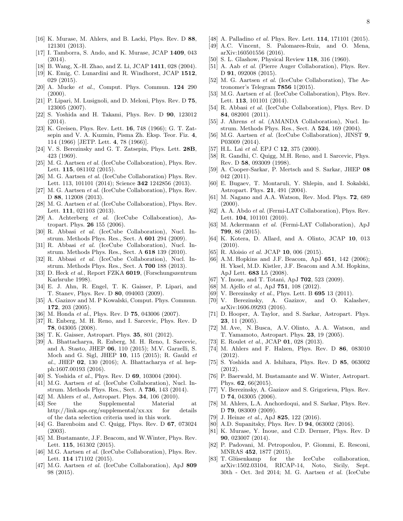- [16] K. Murase, M. Ahlers, and B. Lacki, Phys. Rev. D 88, 121301 (2013).
- [17] I. Tamborra, S. Ando, and K. Murase, JCAP 1409, 043 (2014).
- [18] B. Wang, X.-H. Zhao, and Z. Li, JCAP 1411, 028 (2004).
- [19] K. Emig, C. Lunardini and R. Windhorst, JCAP 1512, 029 (2015).
- [20] A. Mucke *et al.*, Comput. Phys. Commun. 124 290  $(2000).$
- [21] P. Lipari, M. Lusignoli, and D. Meloni, Phys. Rev. D 75, 123005 (2007).
- [22] S. Yoshida and H. Takami, Phys. Rev. D 90, 123012  $(2014)$ .
- [23] K. Greisen, Phys. Rev. Lett. 16, 748 (1966); G. T. Zatsepin and V. A. Kuzmin, Pisma Zh. Eksp. Teor. Fiz. 4, 114 (1966) [JETP. Lett. 4, 78 (1966)].
- [24] V. S. Berezinsky and G. T. Zatsepin, Phys. Lett. 28B, 423 (1969).
- [25] M. G. Aartsen *et al.* (IceCube Collaboration), Phys. Rev. Lett. **115**, 081102 (2015).
- [26] M. G. Aartsen *et al.* (IceCube Collaboration) Phys. Rev. Lett. 113, 101101 (2014); Science **342** 1242856 (2013).
- [27] M. G. Aartsen *et al.* (IceCube Collaboration), Phys. Rev. D 88, 112008 (2013).
- [28] M. G. Aartsen *et al.* (IceCube Collaboration), Phys. Rev. Lett. 111, 021103 (2013).
- [29] A. Achterberg *et al.* (IceCube Collaboration), Astropart. Phys. 26 155 (2006).
- [30] R. Abbasi *et al.* (IceCube Collaboration), Nucl. Instrum. Methods Phys. Res., Sect. A 601 294 (2009).
- [31] R. Abbasi *et al.* (IceCube Collaboration), Nucl. Instrum. Methods Phys. Res., Sect. A 618 139 (2010).
- [32] R. Abbasi *et al.* (IceCube Collaboration), Nucl. Instrum. Methods Phys. Res., Sect. A 700 188 (2013).
- [33] D. Heck *et al.*, Report FZKA 6019, (Forschungszentrum Karlsruhe 1998).
- [34] E. J. Ahn, R. Engel, T. K. Gaisser, P. Lipari, and T. Stanev, Phys. Rev. D 80, 094003 (2009).
- [35] A. Gazizov and M. P Kowalski, Comput. Phys. Commun. 172, 203 (2005).
- [36] M. Honda *et al.*, Phys. Rev. D 75, 043006 (2007).
- [37] R. Enberg, M. H. Reno, and I. Sarcevic, Phys. Rev. D 78, 043005 (2008).
- [38] T. K. Gaisser, Astropart. Phys. 35, 801 (2012).
- [39] A. Bhattacharya, R. Enberg, M. H. Reno, I. Sarcevic, and A. Stasto, JHEP 06, 110 (2015); M.V. Garzelli, S. Moch and G. Sigl, JHEP 10, 115 (2015); R. Gauld *et al.*, JHEP 02, 130 (2016); A. Bhattacharya *et al.* hepph:1607.00193 (2016).
- [40] S. Yoshida *et al.*, Phys. Rev. D **69**, 103004 (2004).
- [41] M.G. Aartsen *et al.* (IceCube Collaboration), Nucl. Instrum. Methods Phys. Res., Sect. A 736, 143 (2014).
- [42] M. Ahlers *et al.*, Astropart. Phys. **34**, 106 (2010).
- [43] See the Supplemental Material at http://link.aps.org/supplemental/xx.xx for details of the data selection criteria used in this work.
- [44] G. Barenboim and C. Quigg, Phys. Rev. D 67, 073024 (2003).
- [45] M. Bustamante, J.F. Beacom, and W.Winter, Phys. Rev. Lett. 115, 161302 (2015).
- [46] M.G. Aartsen *et al.* (IceCube Collaboration), Phys. Rev. Lett. 114 171102 (2015).
- [47] M.G. Aartsen *et al.* (IceCube Collaboration), ApJ 809 98 (2015).
- [48] A. Palladino *et al.* Phys. Rev. Lett. 114, 171101 (2015).
- [49] A.C. Vincent, S. Palomares-Ruiz, and O. Mena, arXiv:160501556 (2016).
- [50] S. L. Glashow, Physical Review 118, 316 (1960).
- [51] A. Aab *et al.* (Pierre Auger Collaboration), Phys. Rev. D 91, 092008 (2015).
- [52] M. G. Aartsen *et al.* (IceCube Collaboration), The Astronomer's Telegram 7856 1(2015).
- [53] M.G. Aartsen *et al.* (IceCube Collaboration), Phys. Rev. Lett. 113, 101101 (2014).
- [54] R. Abbasi *et al.* (IceCube Collaboration), Phys. Rev. D 84, 082001 (2011).
- [55] J. Ahrens *et al.* (AMANDA Collaboration), Nucl. Instrum. Methods Phys. Res., Sect. A 524, 169 (2004).
- [56] M.G. Aartsen *et al.* (IceCube Collaboration), JINST 9, P03009 (2014).
- [57] H.L. Lai *et al.* EPJ C 12, 375 (2000).
- [58] R. Gandhi, C. Quigg, M.H. Reno, and I. Sarcevic, Phys. Rev. D 58, 093009 (1998).
- [59] A. Cooper-Sarkar, P. Mertsch and S. Sarkar, JHEP 08 042 (2011).
- [60] E. Bugaev, T. Montaruli, Y. Shlepin, and I. Sokalski, Astropart. Phys. 21, 491 (2004).
- [61] M. Nagano and A.A. Watson, Rev. Mod. Phys. 72, 689  $(2000).$
- [62] A. A. Abdo *et al.* (Fermi-LAT Collaboration), Phys. Rev. Lett. 104, 101101 (2010).
- [63] M. Ackermann *et al.* (Fermi-LAT Collaboration), ApJ 799, 86 (2015).
- [64] K. Kotera, D. Allard, and A. Olinto, JCAP 10, 013 (2010).
- [65] R. Aloisio *et al.* JCAP 10, 006 (2015).
- [66] A.M. Hopkins and J.F. Beacom, ApJ 651, 142 (2006); H. Yksel, M.D. Kistler, J.F. Beacom and A.M. Hopkins, ApJ Lett. 683 L5 (2008).
- [67] Y. Inoue, and T. Totani, ApJ **702**, 523 (2009).
- [68] M. Ajello *et al.*, ApJ 751, 108 (2012).
- [69] V. Berezinsky *et al.*, Phys. Lett. B 695 13 (2011).
- [70] V. Berezinsky, A. Gazizov, and O. Kalashev, arXiv:1606.09293 (2016).
- [71] D. Hooper, A. Taylor, and S. Sarkar, Astropart. Phys. 23, 11 (2005).
- [72] M. Ave, N. Busca, A.V. Olinto, A. A. Watson, and T. Yamamoto, Astropart. Phys. 23, 19 (2005).
- [73] E. Roulet *et al.*, JCAP 01, 028 (2013).
- [74] M. Ahlers and F. Halzen, Phys. Rev. D 86, 083010 (2012).
- [75] S. Yoshida and A. Ishihara, Phys. Rev. D 85, 063002 (2012).
- [76] P. Baerwald, M. Bustamante and W. Winter, Astropart. Phys. 62, 66(2015).
- [77] V. Berezinsky, A. Gazizov and S. Grigorieva, Phys. Rev. D 74, 043005 (2006).
- [78] M. Ahlers, L.A. Anchordoqui, and S. Sarkar, Phys. Rev. D **79**, 083009 (2009).
- [79] J. Heinze *et al.*, ApJ 825, 122 (2016).
- [80] A.D. Supanitsky, Phys. Rev. D **94**, 063002 (2016).
- [81] K. Murase, Y. Inoue, and C.D. Dermer, Phys. Rev. D 90, 023007 (2014).
- [82] P. Padovani, M. Petropoulou, P. Giommi, E. Resconi, MNRAS 452, 1877 (2015).
- [83] T. Glüsenkamp for the IceCube collaboration, arXiv:1502.03104, RICAP-14, Noto, Sicily, Sept. 30th - Oct. 3rd 2014; M. G. Aartsen *et al.* (IceCube